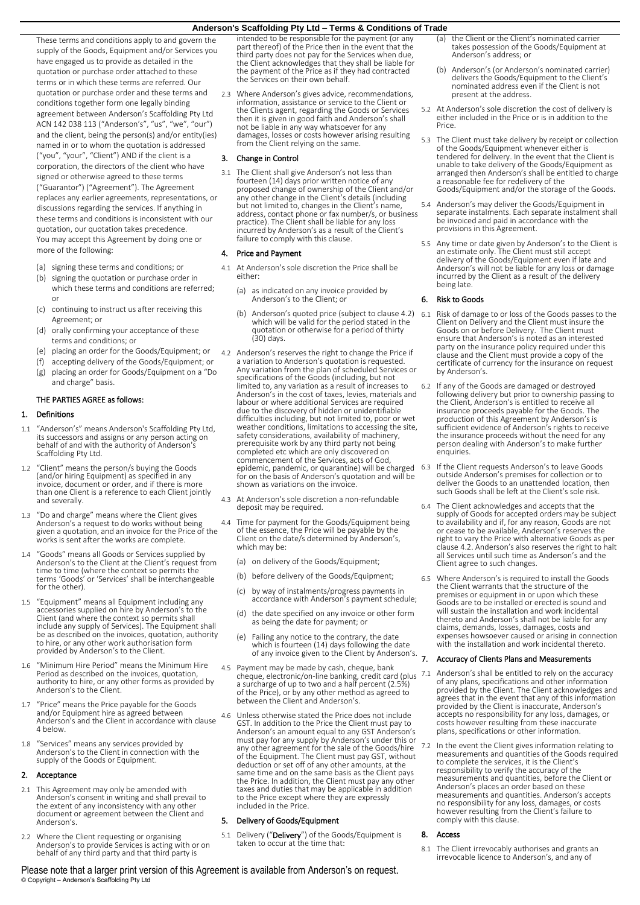These terms and conditions apply to and govern the supply of the Goods, Equipment and/or Services you have engaged us to provide as detailed in the quotation or purchase order attached to these terms or in which these terms are referred. Our quotation or purchase order and these terms and conditions together form one legally binding agreement between Anderson's Scaffolding Pty Ltd ACN 142 038 113 ("Anderson's", "us", "we", "our") and the client, being the person(s) and/or entity(ies) named in or to whom the quotation is addressed ("you", "your", "Client") AND if the client is a corporation, the directors of the client who have signed or otherwise agreed to these terms ("Guarantor") ("Agreement"). The Agreement replaces any earlier agreements, representations, or discussions regarding the services. If anything in these terms and conditions is inconsistent with our quotation, our quotation takes precedence. You may accept this Agreement by doing one or more of the following:

- (a) signing these terms and conditions; or
- (b) signing the quotation or purchase order in which these terms and conditions are referred; or
- (c) continuing to instruct us after receiving this Agreement; or
- (d) orally confirming your acceptance of these terms and conditions; or
- (e) placing an order for the Goods/Equipment; or
- (f) accepting delivery of the Goods/Equipment; or
- (g) placing an order for Goods/Equipment on a "Do and charge" basis.

### THE PARTIES AGREE as follows:

### 1. Definitions

- 1.1 "Anderson's" means Anderson's Scaffolding Pty Ltd, its successors and assigns or any person acting on behalf of and with the authority of Anderson's Scaffolding Pty Ltd.
- 1.2 "Client" means the person/s buying the Goods (and/or hiring Equipment) as specified in any invoice, document or order, and if there is more than one Client is a reference to each Client jointly and severally.
- 1.3 "Do and charge" means where the Client gives Anderson's a request to do works without being given a quotation, and an invoice for the Price of the works is sent after the works are complete.
- 1.4 "Goods" means all Goods or Services supplied by Anderson's to the Client at the Client's request from time to time (where the context so permits the terms 'Goods' or 'Services' shall be interchangeable for the other).
- 1.5 "Equipment" means all Equipment including any accessories supplied on hire by Anderson's to the Client (and where the context so permits shall include any supply of Services). The Equipment shall be as described on the invoices, quotation, authority to hire, or any other work authorisation form provided by Anderson's to the Client
- 1.6 "Minimum Hire Period" means the Minimum Hire Period as described on the invoices, quotation, authority to hire, or any other forms as provided by Anderson's to the Client.
- 1.7 "Price" means the Price payable for the Goods and/or Equipment hire as agreed between Anderson's and the Client in accordance with clause [4](#page-0-0) below.
- 1.8 "Services" means any services provided by Anderson's to the Client in connection with the supply of the Goods or Equipment.

### 2. Acceptance

- 2.1 This Agreement may only be amended with Anderson's consent in writing and shall prevail to the extent of any inconsistency with any other document or agreement between the Client and Anderson's.
- 2.2 Where the Client requesting or organising Anderson's to provide Services is acting with or on behalf of any third party and that third party is

intended to be responsible for the payment (or any part thereof) of the Price then in the event that the third party does not pay for the Services when due, the Client acknowledges that they shall be liable for the payment of the Price as if they had contracted the Services on their own behalf.

2.3 Where Anderson's gives advice, recommendations, information, assistance or service to the Client or the Clients agent, regarding the Goods or Services then it is given in good faith and Anderson's shall not be liable in any way whatsoever for any damages, losses or costs however arising resulting from the Client relying on the same.

### 3. Change in Control

3.1 The Client shall give Anderson's not less than fourteen (14) days prior written notice of any proposed change of ownership of the Client and/or any other change in the Client's details (including but not limited to, changes in the Client's name, address, contact phone or fax number/s, or business practice). The Client shall be liable for any loss incurred by Anderson's as a result of the Client's failure to comply with this clause.

### <span id="page-0-0"></span>4. Price and Payment

- 4.1 At Anderson's sole discretion the Price shall be either:
	- (a) as indicated on any invoice provided by Anderson's to the Client; or
	- (b) Anderson's quoted price (subject to claus[e 4.2\)](#page-0-1) which will be valid for the period stated in the quotation or otherwise for a period of thirty (30) days.
- <span id="page-0-1"></span>4.2 Anderson's reserves the right to change the Price if a variation to Anderson's quotation is requested. Any variation from the plan of scheduled Services or specifications of the Goods (including, but not limited to, any variation as a result of increases to Anderson's in the cost of taxes, levies, materials and labour or where additional Services are required due to the discovery of hidden or unidentifiable difficulties including, but not limited to, poor or wet weather conditions, limitations to accessing the site, safety considerations, availability of machinery, prerequisite work by any third party not being completed etc which are only discovered on commencement of the Services, acts of God, epidemic, pandemic, or quarantine) will be charged for on the basis of Anderson's quotation and will be shown as variations on the invoice.
- 4.3 At Anderson's sole discretion a non-refundable deposit may be required.
- 4.4 Time for payment for the Goods/Equipment being of the essence, the Price will be payable by the Client on the date/s determined by Anderson's, which may be:
	- (a) on delivery of the Goods/Equipment;
	- (b) before delivery of the Goods/Equipment;
	- (c) by way of instalments/progress payments in accordance with Anderson's payment schedule;
	- (d) the date specified on any invoice or other form as being the date for payment; or
	- (e) Failing any notice to the contrary, the date which is fourteen (14) days following the date of any invoice given to the Client by Anderson's.  $\overline{7}$ .
- 4.5 Payment may be made by cash, cheque, bank cheque, electronic/on-line banking, credit card (plus 7.1) a surcharge of up to two and a half percent (2.5%) of the Price), or by any other method as agreed to between the Client and Anderson's.
- 4.6 Unless otherwise stated the Price does not include GST. In addition to the Price the Client must pay to Anderson's an amount equal to any GST Anderson's must pay for any supply by Anderson's under this or any other agreement for the sale of the Goods/hire of the Equipment. The Client must pay GST, without deduction or set off of any other amounts, at the same time and on the same basis as the Client pays the Price. In addition, the Client must pay any other taxes and duties that may be applicable in addition to the Price except where they are expressly included in the Price.

### 5. Delivery of Goods/Equipment

5.1 Delivery ("Delivery") of the Goods/Equipment is taken to occur at the time that:

- the Client or the Client's nominated carrier takes possession of the Goods/Equipment at Anderson's address; or
- (b) Anderson's (or Anderson's nominated carrier) delivers the Goods/Equipment to the Client's nominated address even if the Client is not present at the address.
- 5.2 At Anderson's sole discretion the cost of delivery is either included in the Price or is in addition to the Price.
- 5.3 The Client must take delivery by receipt or collection of the Goods/Equipment whenever either is tendered for delivery. In the event that the Client is unable to take delivery of the Goods/Equipment as arranged then Anderson's shall be entitled to charge a reasonable fee for redelivery of the Goods/Equipment and/or the storage of the Goods.
- 5.4 Anderson's may deliver the Goods/Equipment in separate instalments. Each separate instalment shall be invoiced and paid in accordance with the provisions in this Agreement.
- 5.5 Any time or date given by Anderson's to the Client is an estimate only. The Client must still accept delivery of the Goods/Equipment even if late and Anderson's will not be liable for any loss or damage incurred by the Client as a result of the delivery being late.

### 6. Risk to Goods

- 6.1 Risk of damage to or loss of the Goods passes to the Client on Delivery and the Client must insure the Goods on or before Delivery. The Client must ensure that Anderson's is noted as an interested party on the insurance policy required under this clause and the Client must provide a copy of the certificate of currency for the insurance on request by Anderson's.
- 6.2 If any of the Goods are damaged or destroyed following delivery but prior to ownership passing to the Client, Anderson's is entitled to receive all insurance proceeds payable for the Goods. The production of this Agreement by Anderson's is sufficient evidence of Anderson's rights to receive the insurance proceeds without the need for any person dealing with Anderson's to make further .<br>enquiries.
- 6.3 If the Client requests Anderson's to leave Goods outside Anderson's premises for collection or to deliver the Goods to an unattended location, then such Goods shall be left at the Client's sole risk.
- 6.4 The Client acknowledges and accepts that the supply of Goods for accepted orders may be subject to availability and if, for any reason, Goods are not or cease to be available, Anderson's reserves the right to vary the Price with alternative Goods as per claus[e 4.2.](#page-0-1) Anderson's also reserves the right to halt all Services until such time as Anderson's and the Client agree to such changes.
- 6.5 Where Anderson's is required to install the Goods the Client warrants that the structure of the premises or equipment in or upon which these Goods are to be installed or erected is sound and will sustain the installation and work incidental thereto and Anderson's shall not be liable for any claims, demands, losses, damages, costs and expenses howsoever caused or arising in connection with the installation and work incidental thereto.

#### 7. Accuracy of Clients Plans and Measurements

- Anderson's shall be entitled to rely on the accuracy of any plans, specifications and other information provided by the Client. The Client acknowledges and agrees that in the event that any of this information provided by the Client is inaccurate, Anderson's accepts no responsibility for any loss, damages, or costs however resulting from these inaccurate plans, specifications or other information.
- 7.2 In the event the Client gives information relating to measurements and quantities of the Goods required to complete the services, it is the Client's responsibility to verify the accuracy of the measurements and quantities, before the Client or Anderson's places an order based on these measurements and quantities. Anderson's accepts no responsibility for any loss, damages, or costs however resulting from the Client's failure to comply with this clause.

### 8. Access

8.1 The Client irrevocably authorises and grants an irrevocable licence to Anderson's, and any of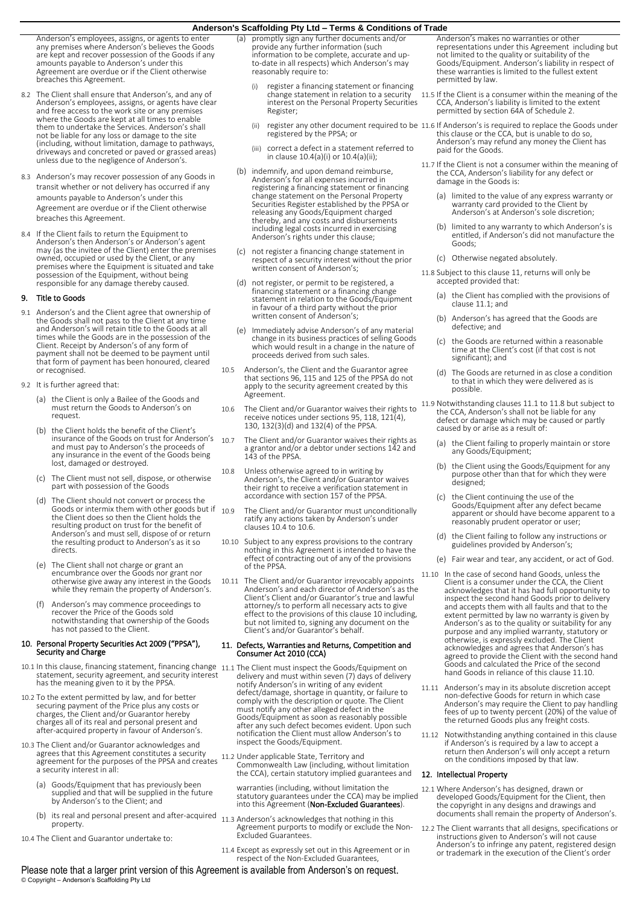Anderson's employees, assigns, or agents to enter any premises where Anderson's believes the Goods are kept and recover possession of the Goods if any amounts payable to Anderson's under this Agreement are overdue or if the Client otherwise breaches this Agreement.

- 8.2 The Client shall ensure that Anderson's, and any of Anderson's employees, assigns, or agents have clear and free access to the work site or any premises where the Goods are kept at all times to enable them to undertake the Services. Anderson's shall not be liable for any loss or damage to the site (including, without limitation, damage to pathways, driveways and concreted or paved or grassed areas) unless due to the negligence of Anderson's.
- 8.3 Anderson's may recover possession of any Goods in transit whether or not delivery has occurred if any amounts payable to Anderson's under this Agreement are overdue or if the Client otherwise breaches this Agreement.
- 8.4 If the Client fails to return the Equipment to Anderson's then Anderson's or Anderson's agent may (as the invitee of the Client) enter the premises owned, occupied or used by the Client, or any premises where the Equipment is situated and take possession of the Equipment, without being responsible for any damage thereby caused.

### 9. Title to Goods

- 9.1 Anderson's and the Client agree that ownership of the Goods shall not pass to the Client at any time and Anderson's will retain title to the Goods at all times while the Goods are in the possession of the Client. Receipt by Anderson's of any form of payment shall not be deemed to be payment until that form of payment has been honoured, cleared or recognised.
- 9.2 It is further agreed that:
	- (a) the Client is only a Bailee of the Goods and must return the Goods to Anderson's on request.
	- the Client holds the benefit of the Client's insurance of the Goods on trust for Anderson's and must pay to Anderson's the proceeds of any insurance in the event of the Goods being lost, damaged or destroyed.
	- (c) The Client must not sell, dispose, or otherwise part with possession of the Goods
	- (d) The Client should not convert or process the Goods or intermix them with other goods but if  $10.9$ the Client does so then the Client holds the resulting product on trust for the benefit of Anderson's and must sell, dispose of or return the resulting product to Anderson's as it so directs.
	- (e) The Client shall not charge or grant an encumbrance over the Goods nor grant nor otherwise give away any interest in the Goods while they remain the property of Anderson's.
	- (f) Anderson's may commence proceedings to recover the Price of the Goods sold notwithstanding that ownership of the Goods has not passed to the Client.

### 10. Personal Property Securities Act 2009 ("PPSA"), Security and Charge

- 10.1 In this clause, financing statement, financing change statement, security agreement, and security interest has the meaning given to it by the PPSA.
- 10.2 To the extent permitted by law, and for better securing payment of the Price plus any costs or charges, the Client and/or Guarantor hereby charges all of its real and personal present and after-acquired property in favour of Anderson's.
- 10.3 The Client and/or Guarantor acknowledges and agrees that this Agreement constitutes a security agreement for the purposes of the PPSA and creates a security interest in all:
	- (a) Goods/Equipment that has previously been supplied and that will be supplied in the future by Anderson's to the Client; and
	- b) its real and personal present and after-acquired 11.3 Anderson's acknowledges that nothing in this property.
- 10.4 The Client and Guarantor undertake to:
- promptly sign any further documents and/or provide any further information (such information to be complete, accurate and upto-date in all respects) which Anderson's may reasonably require to:
	- (i) register a financing statement or financing change statement in relation to a security interest on the Personal Property Securities Register;
	-
	- (iii) correct a defect in a statement referred to in clause 10.4(a)(i) or 10.4(a)(ii);
- (b) indemnify, and upon demand reimburse, Anderson's for all expenses incurred in registering a financing statement or financing change statement on the Personal Property Securities Register established by the PPSA or releasing any Goods/Equipment charged thereby, and any costs and disbursements including legal costs incurred in exercising Anderson's rights under this clause;
- (c) not register a financing change statement in respect of a security interest without the prior written consent of Anderson's;
- (d) not register, or permit to be registered, a financing statement or a financing change statement in relation to the Goods/Equipment in favour of a third party without the prior written consent of Anderson's;
- (e) Immediately advise Anderson's of any material change in its business practices of selling Goods which would result in a change in the nature of proceeds derived from such sales.
- 10.5 Anderson's, the Client and the Guarantor agree that sections 96, 115 and 125 of the PPSA do not apply to the security agreement created by this Agreement.
- 10.6 The Client and/or Guarantor waives their rights to receive notices under sections 95, 118, 121(4), 130, 132(3)(d) and 132(4) of the PPSA.
- 10.7 The Client and/or Guarantor waives their rights as a grantor and/or a debtor under sections 142 and 143 of the PPSA.
- 10.8 Unless otherwise agreed to in writing by Anderson's, the Client and/or Guarantor waives their right to receive a verification statement in accordance with section 157 of the PPSA.
	- The Client and/or Guarantor must unconditionally ratify any actions taken by Anderson's under clauses 10.4 to 10.6.
- 10.10 Subject to any express provisions to the contrary nothing in this Agreement is intended to have the effect of contracting out of any of the provisions of the PPSA.
- 10.11 The Client and/or Guarantor irrevocably appoints Anderson's and each director of Anderson's as the Client's Client and/or Guarantor's true and lawful attorney/s to perform all necessary acts to give effect to the provisions of this clause 10 including, but not limited to, signing any document on the Client's and/or Guarantor's behalf.

### 11. Defects, Warranties and Returns, Competition and Consumer Act 2010 (CCA)

- 11.1 The Client must inspect the Goods/Equipment on delivery and must within seven (7) days of delivery notify Anderson's in writing of any evident defect/damage, shortage in quantity, or failure to comply with the description or quote. The Client must notify any other alleged defect in the Goods/Equipment as soon as reasonably possible after any such defect becomes evident. Upon such notification the Client must allow Anderson's to inspect the Goods/Equipment.
- 11.2 Under applicable State, Territory and Commonwealth Law (including, without limitation the CCA), certain statutory implied guarantees and
	- warranties (including, without limitation the statutory guarantees under the CCA) may be implied into this Agreement (Non-Excluded Guarantees)
- Agreement purports to modify or exclude the Non-Excluded Guarantees.
- 11.4 Except as expressly set out in this Agreement or in respect of the Non-Excluded Guarantees,

Anderson's makes no warranties or other representations under this Agreement including but not limited to the quality or suitability of the Goods/Equipment. Anderson's liability in respect of these warranties is limited to the fullest extent permitted by law.

- 11.5 If the Client is a consumer within the meaning of the CCA, Anderson's liability is limited to the extent permitted by section 64A of Schedule 2.
- (ii) register any other document required to be 11.6 If Anderson's is required to replace the Goods under<br>registered by the PPSA; or build be this clause or the CCA, but is unable to do so,<br>Anderson's may refund any money paid for the Goods.
	- 11.7 If the Client is not a consumer within the meaning of the CCA, Anderson's liability for any defect or damage in the Goods is:
		- (a) limited to the value of any express warranty or warranty card provided to the Client by Anderson's at Anderson's sole discretion;
		- (b) limited to any warranty to which Anderson's is entitled, if Anderson's did not manufacture the Goods;
		- (c) Otherwise negated absolutely.
	- 11.8 Subject to this clause 11, returns will only be accepted provided that:
		- (a) the Client has complied with the provisions of clause 11.1; and
		- (b) Anderson's has agreed that the Goods are defective; and
		- (c) the Goods are returned within a reasonable time at the Client's cost (if that cost is not significant); and
		- The Goods are returned in as close a condition to that in which they were delivered as is possible.

11.9 Notwithstanding clauses 11.1 to 11.8 but subject to the CCA, Anderson's shall not be liable for any defect or damage which may be caused or partly caused by or arise as a result of:

- (a) the Client failing to properly maintain or store any Goods/Equipment;
- (b) the Client using the Goods/Equipment for any purpose other than that for which they were designed;
- (c) the Client continuing the use of the Goods/Equipment after any defect became apparent or should have become apparent to a reasonably prudent operator or user;
- (d) the Client failing to follow any instructions or guidelines provided by Anderson's;
- (e) Fair wear and tear, any accident, or act of God.
- 11.10 In the case of second hand Goods, unless the Client is a consumer under the CCA, the Client acknowledges that it has had full opportunity to inspect the second hand Goods prior to delivery and accepts them with all faults and that to the extent permitted by law no warranty is given by Anderson's as to the quality or suitability for any purpose and any implied warranty, statutory or otherwise, is expressly excluded. The Client acknowledges and agrees that Anderson's has agreed to provide the Client with the second hand Goods and calculated the Price of the second hand Goods in reliance of this clause 11.10.
- 11.11 Anderson's may in its absolute discretion accept non-defective Goods for return in which case Anderson's may require the Client to pay handling fees of up to twenty percent (20%) of the value of the returned Goods plus any freight costs.
- 11.12 Notwithstanding anything contained in this clause if Anderson's is required by a law to accept a return then Anderson's will only accept a return on the conditions imposed by that law.

### 12. Intellectual Property

- 12.1 Where Anderson's has designed, drawn or developed Goods/Equipment for the Client, then the copyright in any designs and drawings and documents shall remain the property of Anderson's.
- 12.2 The Client warrants that all designs, specifications or instructions given to Anderson's will not cause Anderson's to infringe any patent, registered design or trademark in the execution of the Client's order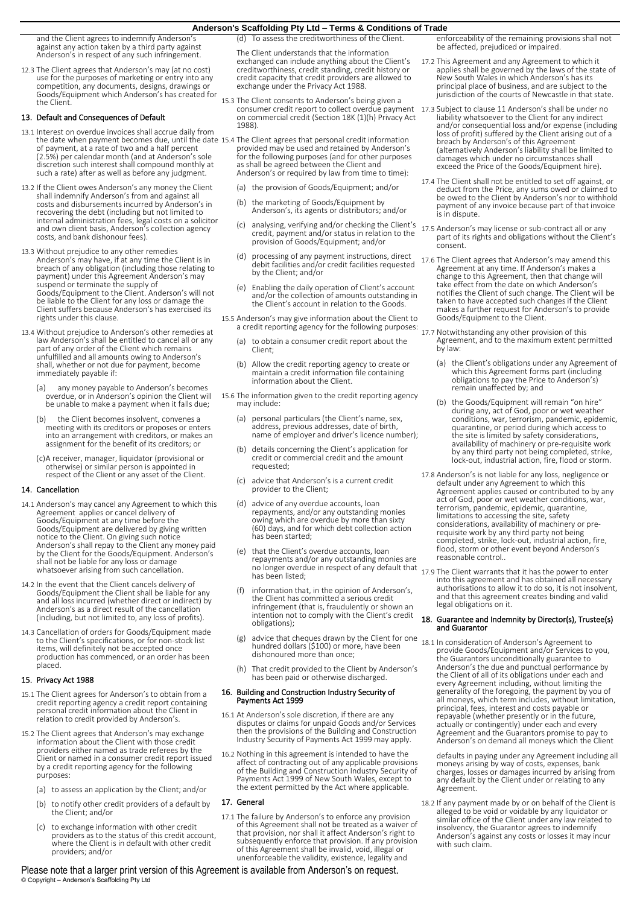and the Client agrees to indemnify Anderson's against any action taken by a third party against Anderson's in respect of any such infringement.

12.3 The Client agrees that Anderson's may (at no cost) use for the purposes of marketing or entry into any competition, any documents, designs, drawings or Goods/Equipment which Anderson's has created for the Client.

### 13. Default and Consequences of Default

- 13.1 Interest on overdue invoices shall accrue daily from the date when payment becomes due, until the date of payment, at a rate of two and a half percent 15.4 The Client agrees that personal credit information provided may be used and retained by Anderson's (2.5%) per calendar month (and at Anderson's sole discretion such interest shall compound monthly at such a rate) after as well as before any judgment.
- 13.2 If the Client owes Anderson's any money the Client shall indemnify Anderson's from and against all costs and disbursements incurred by Anderson's in recovering the debt (including but not limited to internal administration fees, legal costs on a solicitor and own client basis, Anderson's collection agency costs, and bank dishonour fees).
- 13.3 Without prejudice to any other remedies Anderson's may have, if at any time the Client is in breach of any obligation (including those relating to payment) under this Agreement Anderson's may suspend or terminate the supply of Goods/Equipment to the Client. Anderson's will not be liable to the Client for any loss or damage the Client suffers because Anderson's has exercised its rights under this clause.
- 13.4 Without prejudice to Anderson's other remedies at law Anderson's shall be entitled to cancel all or any part of any order of the Client which remains unfulfilled and all amounts owing to Anderson's shall, whether or not due for payment, become immediately payable if:
	- (a) any money payable to Anderson's becomes overdue, or in Anderson's opinion the Client will be unable to make a payment when it falls due;
	- (b) the Client becomes insolvent, convenes a meeting with its creditors or proposes or enters into an arrangement with creditors, or makes an assignment for the benefit of its creditors; or
	- (c)A receiver, manager, liquidator (provisional or otherwise) or similar person is appointed in respect of the Client or any asset of the Client.

### 14. Cancellation

- 14.1 Anderson's may cancel any Agreement to which this Agreement applies or cancel delivery of Goods/Equipment at any time before the Goods/Equipment are delivered by giving written notice to the Client. On giving such notice Anderson's shall repay to the Client any money paid by the Client for the Goods/Equipment. Anderson's shall not be liable for any loss or damage whatsoever arising from such cancellation.
- 14.2 In the event that the Client cancels delivery of Goods/Equipment the Client shall be liable for any and all loss incurred (whether direct or indirect) by Anderson's as a direct result of the cancellation (including, but not limited to, any loss of profits).
- 14.3 Cancellation of orders for Goods/Equipment made to the Client's specifications, or for non-stock list items, will definitely not be accepted once production has commenced, or an order has been placed.

### 15. Privacy Act 1988

- 15.1 The Client agrees for Anderson's to obtain from a credit reporting agency a credit report containing personal credit information about the Client in relation to credit provided by Anderson's.
- 15.2 The Client agrees that Anderson's may exchange information about the Client with those credit providers either named as trade referees by the Client or named in a consumer credit report issued by a credit reporting agency for the following purposes:
	- (a) to assess an application by the Client; and/or
	- (b) to notify other credit providers of a default by the Client; and/or
	- (c) to exchange information with other credit providers as to the status of this credit account, where the Client is in default with other credit providers; and/or

(d) To assess the creditworthiness of the Client.

The Client understands that the information exchanged can include anything about the Client's creditworthiness, credit standing, credit history or credit capacity that credit providers are allowed to exchange under the Privacy Act 1988.

- 15.3 The Client consents to Anderson's being given a consumer credit report to collect overdue payment on commercial credit (Section 18K (1)(h) Privacy Act 1988).
	- for the following purposes (and for other purposes as shall be agreed between the Client and Anderson's or required by law from time to time):
		- (a) the provision of Goods/Equipment; and/or
		- (b) the marketing of Goods/Equipment by Anderson's, its agents or distributors; and/or
		- (c) analysing, verifying and/or checking the Client's credit, payment and/or status in relation to the provision of Goods/Equipment; and/or
		- (d) processing of any payment instructions, direct debit facilities and/or credit facilities requested by the Client; and/or
		- (e) Enabling the daily operation of Client's account and/or the collection of amounts outstanding in the Client's account in relation to the Goods.
- 15.5 Anderson's may give information about the Client to a credit reporting agency for the following purposes:
	- (a) to obtain a consumer credit report about the Client;
	- (b) Allow the credit reporting agency to create or maintain a credit information file containing information about the Client.
- 15.6 The information given to the credit reporting agency may include:
	- (a) personal particulars (the Client's name, sex, address, previous addresses, date of birth, name of employer and driver's licence number);
	- (b) details concerning the Client's application for credit or commercial credit and the amount requested;
	- (c) advice that Anderson's is a current credit provider to the Client;
	- (d) advice of any overdue accounts, loan repayments, and/or any outstanding monies owing which are overdue by more than sixty (60) days, and for which debt collection action has been started;
	- (e) that the Client's overdue accounts, loan repayments and/or any outstanding monies are
	- information that, in the opinion of Anderson's, the Client has committed a serious credit infringement (that is, fraudulently or shown an intention not to comply with the Client's credit obligations);
	- (g) advice that cheques drawn by the Client for one hundred dollars (\$100) or more, have been dishonoured more than once;
	- (h) That credit provided to the Client by Anderson's has been paid or otherwise discharged.

## 16. Building and Construction Industry Security of Payments Act 1999

- 16.1 At Anderson's sole discretion, if there are any disputes or claims for unpaid Goods and/or Services then the provisions of the Building and Construction Industry Security of Payments Act 1999 may apply.
- 16.2 Nothing in this agreement is intended to have the affect of contracting out of any applicable provisions of the Building and Construction Industry Security of Payments Act 1999 of New South Wales, except to the extent permitted by the Act where applicable.

### 17. General

17.1 The failure by Anderson's to enforce any provision of this Agreement shall not be treated as a waiver of that provision, nor shall it affect Anderson's right to subsequently enforce that provision. If any provision of this Agreement shall be invalid, void, illegal or unenforceable the validity, existence, legality and

enforceability of the remaining provisions shall not be affected, prejudiced or impaired.

- 17.2 This Agreement and any Agreement to which it applies shall be governed by the laws of the state of New South Wales in which Anderson's has its principal place of business, and are subject to the jurisdiction of the courts of Newcastle in that state.
- 17.3 Subject to clause 11 Anderson's shall be under no liability whatsoever to the Client for any indirect and/or consequential loss and/or expense (including loss of profit) suffered by the Client arising out of a breach by Anderson's of this Agreement (alternatively Anderson's liability shall be limited to damages which under no circumstances shall exceed the Price of the Goods/Equipment hire).
- 17.4 The Client shall not be entitled to set off against, or deduct from the Price, any sums owed or claimed to be owed to the Client by Anderson's nor to withhold payment of any invoice because part of that invoice is in dispute.
- 17.5 Anderson's may license or sub-contract all or any part of its rights and obligations without the Client's consent.
- 17.6 The Client agrees that Anderson's may amend this Agreement at any time. If Anderson's makes a change to this Agreement, then that change will take effect from the date on which Anderson's notifies the Client of such change. The Client will be taken to have accepted such changes if the Client makes a further request for Anderson's to provide Goods/Equipment to the Client.
- 17.7 Notwithstanding any other provision of this Agreement, and to the maximum extent permitted by law:
	- (a) the Client's obligations under any Agreement of which this Agreement forms part (including obligations to pay the Price to Anderson's) remain unaffected by; and
	- (b) the Goods/Equipment will remain "on hire" during any, act of God, poor or wet weather conditions, war, terrorism, pandemic, epidemic, quarantine, or period during which access to the site is limited by safety considerations, availability of machinery or pre-requisite work by any third party not being completed, strike, lock-out, industrial action, fire, flood or storm.
- 17.8 Anderson's is not liable for any loss, negligence or default under any Agreement to which this Agreement applies caused or contributed to by any act of God, poor or wet weather conditions, war, terrorism, pandemic, epidemic, quarantine,<br>limitations to accessing the site, safety<br>considerations, availability of machinery or pre-<br>considerations, availability of machinery or pre-<br>requisite work by any third party not flood, storm or other event beyond Anderson's reasonable control..
- no longer overdue in respect of any default that <sub>17.9</sub> The Client warrants that it has the power to enter<br>into this agreement and has obtained all necessary authorisations to allow it to do so, it is not insolvent, and that this agreement creates binding and valid legal obligations on it.

### 18. Guarantee and Indemnity by Director(s), Trustee(s) and Guarantor

18.1 In consideration of Anderson's Agreement to provide Goods/Equipment and/or Services to you, the Guarantors unconditionally guarantee to Anderson's the due and punctual performance by the Client of all of its obligations under each and every Agreement including, without limiting the<br>generality of the foregoing, the payment by you of<br>all moneys, which term includes, without limitation,<br>principal, fees, interest and costs payable or<br>repayable (whether pres Agreement and the Guarantors promise to pay to Anderson's on demand all moneys which the Client

defaults in paying under any Agreement including all moneys arising by way of costs, expenses, bank charges, losses or damages incurred by arising from any default by the Client under or relating to any Agreement.

18.2 If any payment made by or on behalf of the Client is alleged to be void or voidable by any liquidator or similar office of the Client under any law related to insolvency, the Guarantor agrees to indemnify Anderson's against any costs or losses it may incur with such claim.